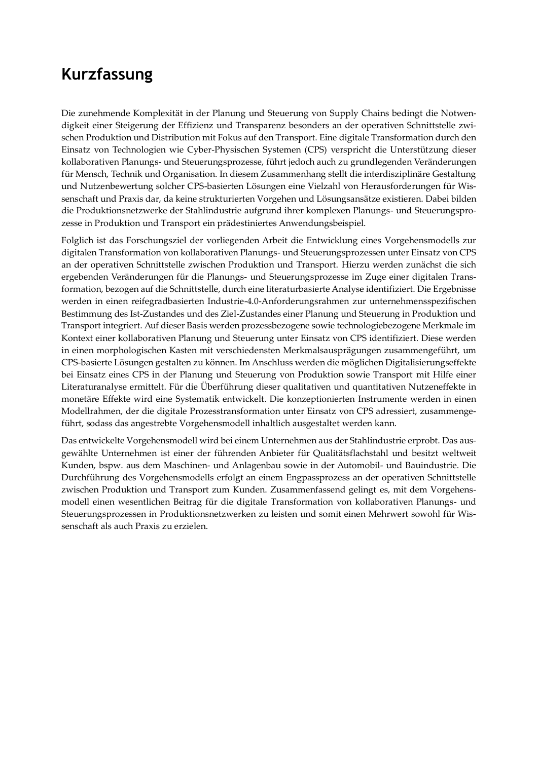## **Kurzfassung**

Die zunehmende Komplexität in der Planung und Steuerung von Supply Chains bedingt die Notwendigkeit einer Steigerung der Effizienz und Transparenz besonders an der operativen Schnittstelle zwischen Produktion und Distribution mit Fokus auf den Transport. Eine digitale Transformation durch den Einsatz von Technologien wie Cyber-Physischen Systemen (CPS) verspricht die Unterstützung dieser kollaborativen Planungs- und Steuerungsprozesse, führt jedoch auch zu grundlegenden Veränderungen für Mensch, Technik und Organisation. In diesem Zusammenhang stellt die interdisziplinäre Gestaltung und Nutzenbewertung solcher CPS-basierten Lösungen eine Vielzahl von Herausforderungen für Wissenschaft und Praxis dar, da keine strukturierten Vorgehen und Lösungsansätze existieren. Dabei bilden die Produktionsnetzwerke der Stahlindustrie aufgrund ihrer komplexen Planungs- und Steuerungsprozesse in Produktion und Transport ein prädestiniertes Anwendungsbeispiel.

Folglich ist das Forschungsziel der vorliegenden Arbeit die Entwicklung eines Vorgehensmodells zur digitalen Transformation von kollaborativen Planungs- und Steuerungsprozessen unter Einsatz von CPS an der operativen Schnittstelle zwischen Produktion und Transport. Hierzu werden zunächst die sich ergebenden Veränderungen für die Planungs- und Steuerungsprozesse im Zuge einer digitalen Transformation, bezogen auf die Schnittstelle, durch eine literaturbasierte Analyse identifiziert. Die Ergebnisse werden in einen reifegradbasierten Industrie-4.0-Anforderungsrahmen zur unternehmensspezifischen Bestimmung des Ist-Zustandes und des Ziel-Zustandes einer Planung und Steuerung in Produktion und Transport integriert. Auf dieser Basis werden prozessbezogene sowie technologiebezogene Merkmale im Kontext einer kollaborativen Planung und Steuerung unter Einsatz von CPS identifiziert. Diese werden in einen morphologischen Kasten mit verschiedensten Merkmalsausprägungen zusammengeführt, um CPS-basierte Lösungen gestalten zu können. Im Anschluss werden die möglichen Digitalisierungseffekte bei Einsatz eines CPS in der Planung und Steuerung von Produktion sowie Transport mit Hilfe einer Literaturanalyse ermittelt. Für die Überführung dieser qualitativen und quantitativen Nutzeneffekte in monetäre Effekte wird eine Systematik entwickelt. Die konzeptionierten Instrumente werden in einen Modellrahmen, der die digitale Prozesstransformation unter Einsatz von CPS adressiert, zusammengeführt, sodass das angestrebte Vorgehensmodell inhaltlich ausgestaltet werden kann.

Das entwickelte Vorgehensmodell wird bei einem Unternehmen aus der Stahlindustrie erprobt. Das ausgewählte Unternehmen ist einer der führenden Anbieter für Qualitätsflachstahl und besitzt weltweit Kunden, bspw. aus dem Maschinen- und Anlagenbau sowie in der Automobil- und Bauindustrie. Die Durchführung des Vorgehensmodells erfolgt an einem Engpassprozess an der operativen Schnittstelle zwischen Produktion und Transport zum Kunden. Zusammenfassend gelingt es, mit dem Vorgehensmodell einen wesentlichen Beitrag für die digitale Transformation von kollaborativen Planungs- und Steuerungsprozessen in Produktionsnetzwerken zu leisten und somit einen Mehrwert sowohl für Wissenschaft als auch Praxis zu erzielen.